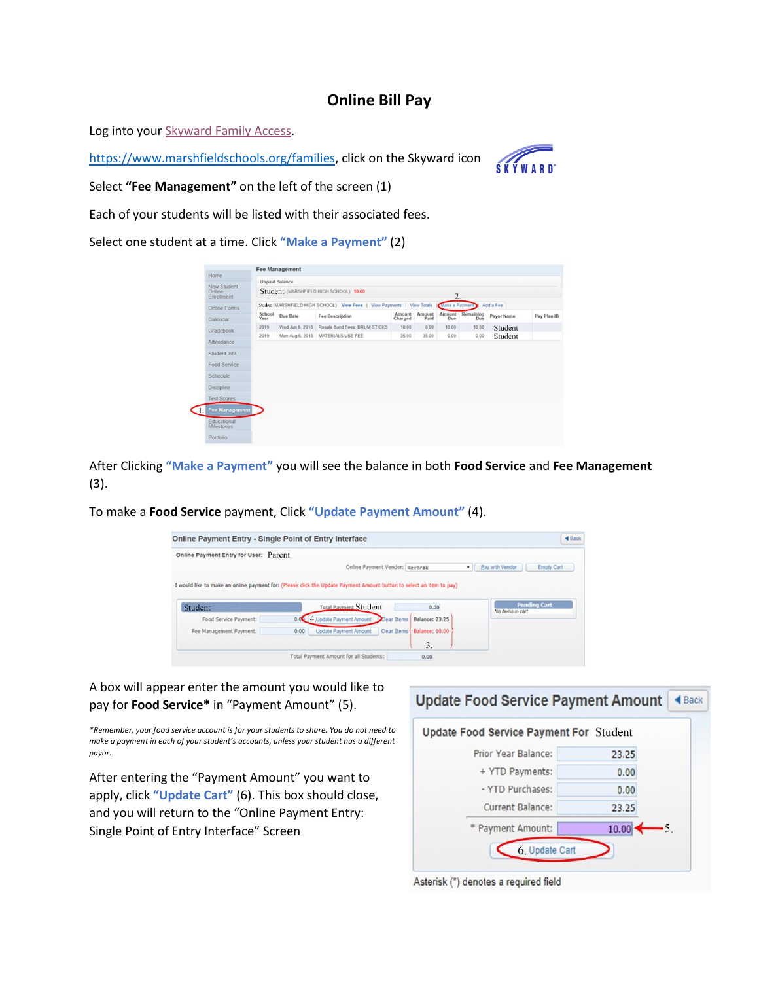## **Online Bill Pay**

Log into your [Skyward Family Access.](https://skyward.marshfield.k12.wi.us/scripts/wsisa.dll/WService=wsEAplus/fwemnu01.w)

[https://www.marshfieldschools.org/families,](https://www.marshfieldschools.org/families) click on the Skyward icon



Select **"Fee Management"** on the left of the screen (1)

Each of your students will be listed with their associated fees.

Select one student at a time. Click **"Make a Payment"** (2)

| Home                             |                |                       |                                                                                           |                   |                |                  |                  |            |             |
|----------------------------------|----------------|-----------------------|-------------------------------------------------------------------------------------------|-------------------|----------------|------------------|------------------|------------|-------------|
| New Student                      |                | <b>Unpaid Balance</b> |                                                                                           |                   |                |                  |                  |            |             |
| Online<br>Enrollment             |                |                       | Student (MARSHFIELD HIGH SCHOOL): 10.00                                                   |                   |                | $\overline{2}$ . |                  |            |             |
| Online Forms                     |                |                       | Student (MARSHFIELD HIGH SCHOOL) View Fees   View Payments   View Totals   Make a Payment |                   |                |                  |                  | Add a Fee  |             |
| Calendar <sup>®</sup>            | School<br>Year | Due Date              | <b>Fee Description</b>                                                                    | Amount<br>Charged | Amount<br>Paid | Amount<br>Due    | Remaining<br>Due | Payor Name | Pay Plan ID |
| Gradebook                        | 2019           | Wed Jun 6, 2018       | Resale Band Fees: DRUM STICKS                                                             | 10.00             | 0.00           | 10.00            | 10.00            | Student    |             |
| Attendance                       | 2019           |                       | Mon Aug 6, 2018   MATERIALS USE FEE                                                       | 35.00             | 35.00          | 0.00             | 0.00             | Student    |             |
| Student Info                     |                |                       |                                                                                           |                   |                |                  |                  |            |             |
| Food Service                     |                |                       |                                                                                           |                   |                |                  |                  |            |             |
| Schedule                         |                |                       |                                                                                           |                   |                |                  |                  |            |             |
|                                  |                |                       |                                                                                           |                   |                |                  |                  |            |             |
|                                  |                |                       |                                                                                           |                   |                |                  |                  |            |             |
| Discipline<br><b>Test Scores</b> |                |                       |                                                                                           |                   |                |                  |                  |            |             |
| Fee Management                   |                |                       |                                                                                           |                   |                |                  |                  |            |             |
| Educational<br><b>Milestones</b> |                |                       |                                                                                           |                   |                |                  |                  |            |             |

After Clicking **"Make a Payment"** you will see the balance in both **Food Service** and **Fee Management** (3).

To make a **Food Service** payment, Click **"Update Payment Amount"** (4).

| Online Payment Entry for User: Parent                                                                                |      |                                     |                            |                      |                     |
|----------------------------------------------------------------------------------------------------------------------|------|-------------------------------------|----------------------------|----------------------|---------------------|
|                                                                                                                      |      | Online Payment Vendor: RevTrak      |                            | Pay with Vendor<br>۰ | <b>Empty Cart</b>   |
| I would like to make an online payment for: (Please click the Update Payment Amount button to select an item to pay) |      |                                     |                            |                      |                     |
|                                                                                                                      |      |                                     |                            |                      |                     |
|                                                                                                                      |      |                                     |                            |                      |                     |
| Student                                                                                                              |      | <b>Total Payment Student</b>        | 0.00                       |                      | <b>Pending Cart</b> |
| Food Service Payment:                                                                                                |      | 4 Update Payment Amount Clear Items | <b>Balance: 23.25</b>      |                      | No items in cart    |
| Fee Management Payment:                                                                                              | 0.00 | <b>Update Payment Amount</b>        | Clear Items Balance: 10.00 |                      |                     |

A box will appear enter the amount you would like to pay for **Food Service\*** in "Payment Amount" (5).

*\*Remember, your food service account is for your students to share. You do not need to make a payment in each of your student's accounts, unless your student has a different payor.*

After entering the "Payment Amount" you want to apply, click **"Update Cart"** (6). This box should close, and you will return to the "Online Payment Entry: Single Point of Entry Interface" Screen



Asterisk (\*) denotes a required field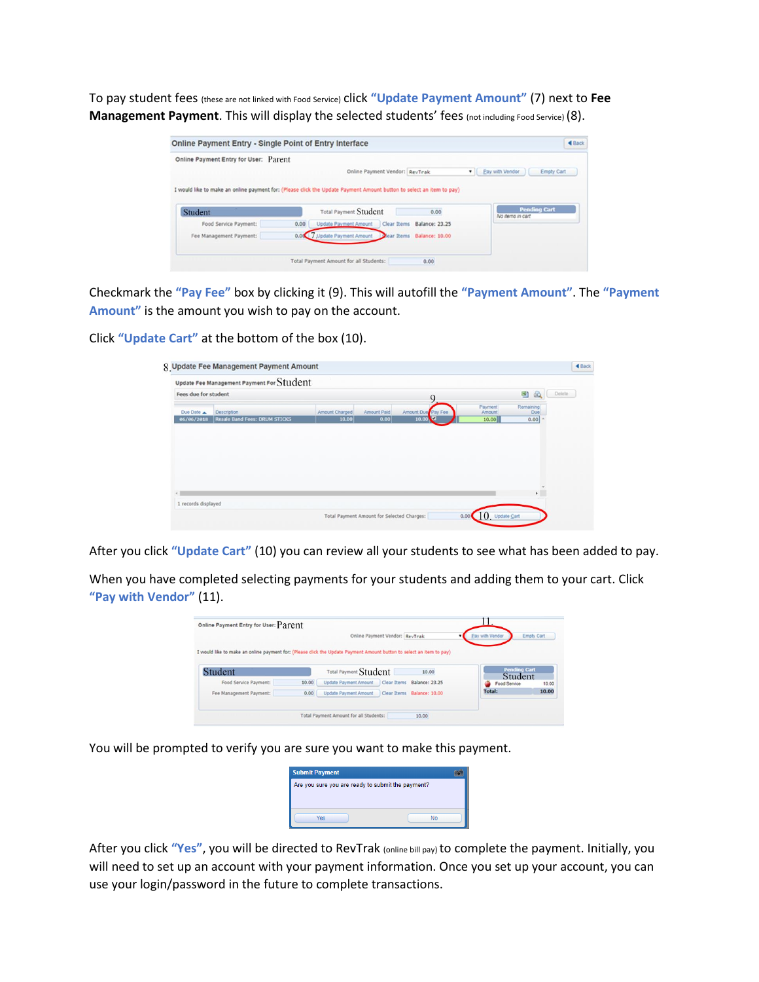To pay student fees (these are not linked with Food Service) click **"Update Payment Amount"** (7) next to **Fee Management Payment**. This will display the selected students' fees (not including Food Service) (8).

| Online Payment Entry for User: Parent                                                                                |      |                                |                            |                      |                     |
|----------------------------------------------------------------------------------------------------------------------|------|--------------------------------|----------------------------|----------------------|---------------------|
|                                                                                                                      |      | Online Payment Vendor: RevTrak |                            | Pay with Vendor<br>۰ | Empty Cart          |
| I would like to make an online payment for: (Please click the Update Payment Amount button to select an item to pay) |      |                                |                            |                      |                     |
|                                                                                                                      |      | <b>Total Payment Student</b>   | 0.00                       |                      | <b>Pending Cart</b> |
|                                                                                                                      |      |                                |                            |                      |                     |
| Student                                                                                                              |      |                                |                            |                      | No items in cart    |
| Food Service Payment:                                                                                                | 0.00 | <b>Update Payment Amount</b>   | Clear Items Balance: 23.25 |                      |                     |

Checkmark the **"Pay Fee"** box by clicking it (9). This will autofill the **"Payment Amount"**. The **"Payment Amount"** is the amount you wish to pay on the account.

Click **"Update Cart"** at the bottom of the box (10).

| Update Fee Management Payment For Student |       |                |                                   |                    |                  |        |
|-------------------------------------------|-------|----------------|-----------------------------------|--------------------|------------------|--------|
| Fees due for student                      |       |                |                                   |                    | G)<br><b>SC</b>  |        |
| <b>Description</b>                        |       |                |                                   | Payment<br>Amount  | Remaining<br>Due |        |
| <b>Resale Band Fees: DRUM STICKS</b>      | 10.00 | 0.00           | $\overline{\phantom{a}}$<br>10.00 | 10.00              | 0.00             |        |
|                                           |       |                |                                   |                    |                  |        |
|                                           |       |                |                                   |                    |                  |        |
|                                           |       |                |                                   |                    |                  |        |
|                                           |       | Amount Charged | Amount Paid                       | Amount Due Pay Fee |                  | Delete |

After you click **"Update Cart"** (10) you can review all your students to see what has been added to pay.

When you have completed selecting payments for your students and adding them to your cart. Click **"Pay with Vendor"** (11).

| Online Payment Entry for User: Parent                                                                                |       |                                                    |                                |                            | H.              |                                |
|----------------------------------------------------------------------------------------------------------------------|-------|----------------------------------------------------|--------------------------------|----------------------------|-----------------|--------------------------------|
|                                                                                                                      |       |                                                    | Online Payment Vendor: RevTrak |                            | Pay with Vendor | <b>Empty Cart</b>              |
| I would like to make an online payment for: (Please click the Update Payment Amount button to select an item to pay) |       |                                                    |                                |                            |                 |                                |
| Student                                                                                                              |       | Total Payment Student                              |                                | 10.00                      |                 | <b>Pending Cart</b><br>Student |
| Food Service Payment:                                                                                                | 10.00 | <b>Update Payment Amount</b>                       |                                | Clear Items Balance: 23.25 | Food Service    | 10.00                          |
| Fee Management Payment:                                                                                              | 0.00  | Update Payment Amount   Clear Items Balance: 10.00 |                                |                            | Total:          | 10.00                          |
|                                                                                                                      |       |                                                    |                                |                            |                 |                                |

You will be prompted to verify you are sure you want to make this payment.

| Are you sure you are ready to submit the payment? |  |  |  |  |  |
|---------------------------------------------------|--|--|--|--|--|
|                                                   |  |  |  |  |  |
|                                                   |  |  |  |  |  |
|                                                   |  |  |  |  |  |
| No                                                |  |  |  |  |  |
|                                                   |  |  |  |  |  |

After you click **"Yes"**, you will be directed to RevTrak (online bill pay) to complete the payment. Initially, you will need to set up an account with your payment information. Once you set up your account, you can use your login/password in the future to complete transactions.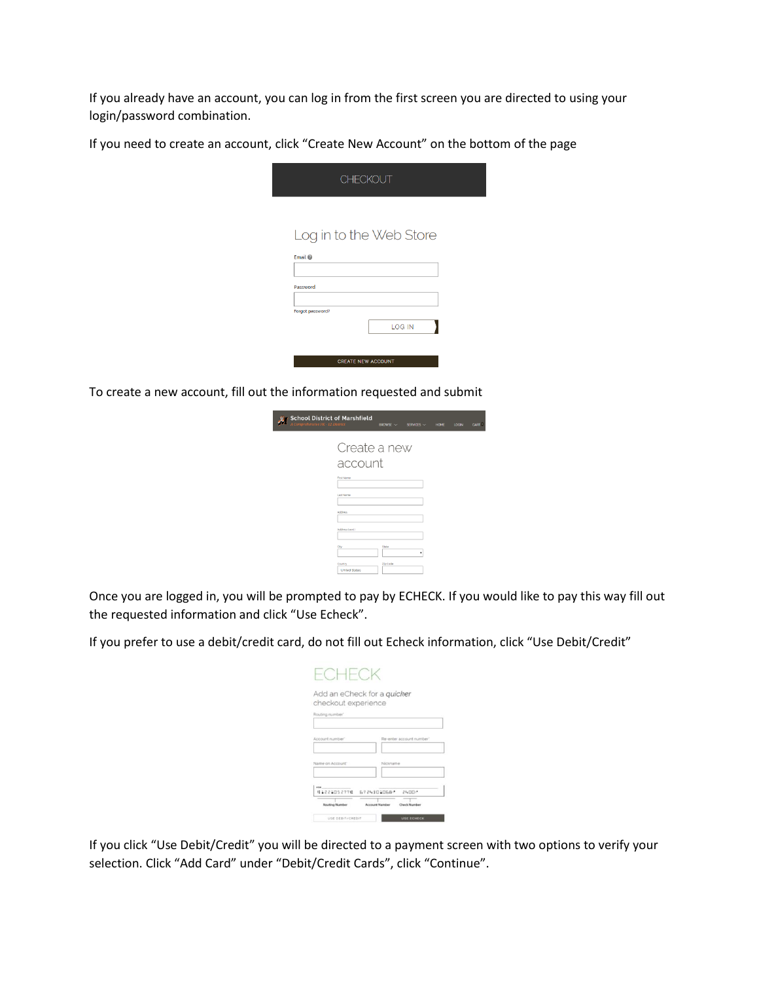If you already have an account, you can log in from the first screen you are directed to using your login/password combination.

If you need to create an account, click "Create New Account" on the bottom of the page

| <b>CHECKOUT</b>           |               |
|---------------------------|---------------|
|                           |               |
| Log in to the Web Store   |               |
| Email @                   |               |
| Password                  |               |
| Forgot password?          |               |
|                           | <b>LOG IN</b> |
|                           |               |
| <b>CREATE NEW ACCOUNT</b> |               |

To create a new account, fill out the information requested and submit

| <b>School District of Marshfield</b><br>Comprehensive PK - 12 District | $BROWSE$ $\sim$         | SERVICES $\sim$ | <b>HOME</b> | <b>LOGIN</b> | CART 1 |
|------------------------------------------------------------------------|-------------------------|-----------------|-------------|--------------|--------|
| First Name<br>Last Name<br><b>Arkfress</b><br>Address (cont.)          | Create a new<br>account |                 |             |              |        |
| City<br>Country<br><b>United States</b>                                | State<br>Zip Code       | ٠               |             |              |        |

Once you are logged in, you will be prompted to pay by ECHECK. If you would like to pay this way fill out the requested information and click "Use Echeck".

If you prefer to use a debit/credit card, do not fill out Echeck information, click "Use Debit/Credit"

| Add an eCheck for a quicker<br>checkout experience |                                              |
|----------------------------------------------------|----------------------------------------------|
| Routing number'                                    |                                              |
| Account number"                                    | Re-enter account number                      |
| Name on Account"                                   | Nickname                                     |
| 41221052774 6724301068*                            | 21.00                                        |
| <b>Routling Number</b>                             | <b>Account Number</b><br><b>Check Number</b> |
| USE DEBIT/CREDIT                                   | <b>USE ECHECK</b>                            |

If you click "Use Debit/Credit" you will be directed to a payment screen with two options to verify your selection. Click "Add Card" under "Debit/Credit Cards", click "Continue".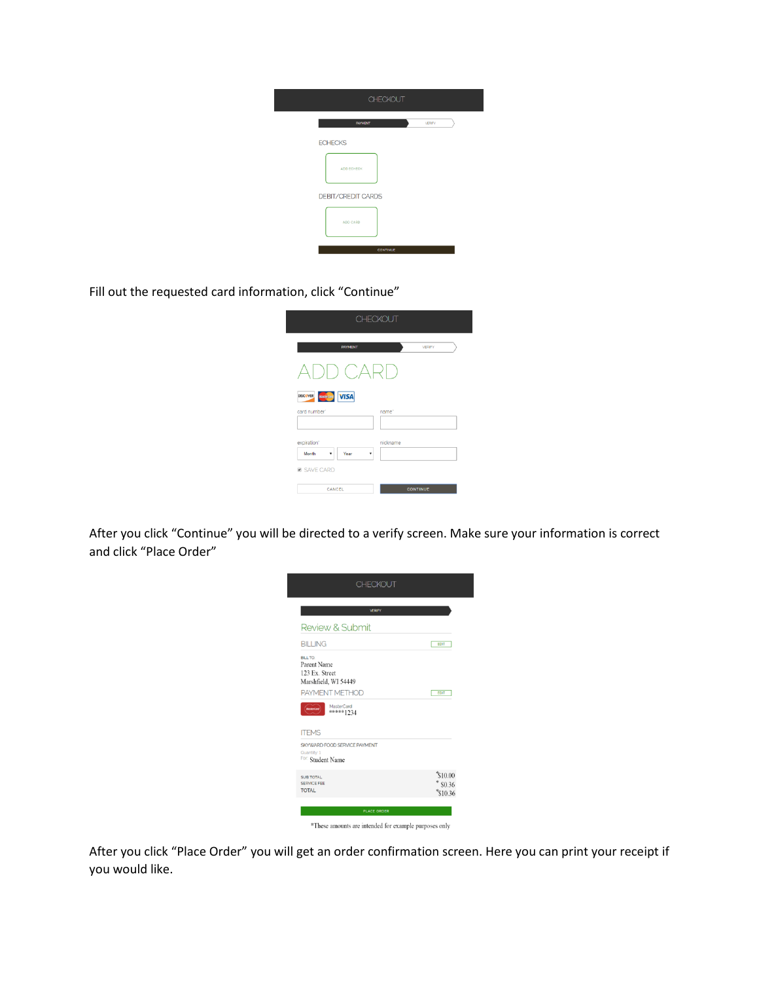| <b>CHECKOUT</b>                 |  |
|---------------------------------|--|
| <b>VERIFY</b><br><b>PAYMENT</b> |  |
| <b>ECHECKS</b>                  |  |
| ADD ECHECK                      |  |
| <b>DEBIT/CREDIT CARDS</b>       |  |
| ADD CARD                        |  |
| <b>CONTINUE</b>                 |  |

Fill out the requested card information, click "Continue"

I

|                                        | <b>CHECKOUT</b>   |
|----------------------------------------|-------------------|
| <b>PAYMENT</b>                         | <b>VERIFY</b>     |
| $\bigcap$ $CARD$                       |                   |
| MagerCard VISA<br><b>DISCOVER</b>      |                   |
| card number'                           | name <sup>-</sup> |
| expiration"<br>Month<br>Year<br>۰<br>۳ | nickname          |
| <b>Ø SAVE CARD</b>                     |                   |
| CANCEL                                 | <b>CONTINUE</b>   |

After you click "Continue" you will be directed to a verify screen. Make sure your information is correct and click "Place Order"



After you click "Place Order" you will get an order confirmation screen. Here you can print your receipt if you would like.